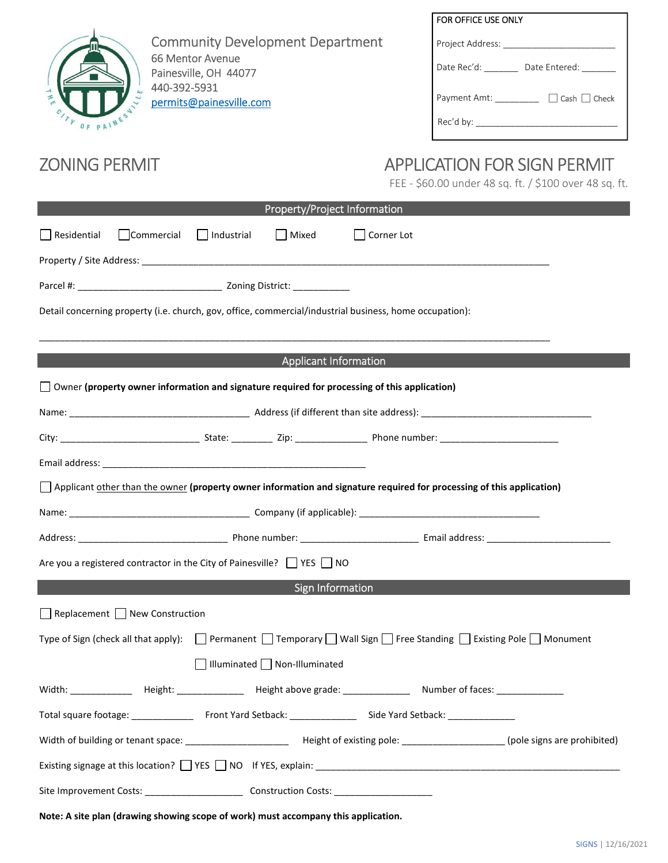|                                                                                                                                                   | FOR OFFICE USE ONLY                                    |  |
|---------------------------------------------------------------------------------------------------------------------------------------------------|--------------------------------------------------------|--|
| <b>Community Development Department</b>                                                                                                           |                                                        |  |
| 66 Mentor Avenue<br>Painesville, OH 44077<br>440-392-5931                                                                                         | Date Rec'd: ________ Date Entered: _______             |  |
|                                                                                                                                                   | Payment Amt: __________ □ Cash □ Check                 |  |
| permits@painesville.com<br>OF PAINE                                                                                                               |                                                        |  |
|                                                                                                                                                   |                                                        |  |
| <b>ZONING PERMIT</b>                                                                                                                              | <b>APPLICATION FOR SIGN PERMIT</b>                     |  |
|                                                                                                                                                   | FEE - \$60.00 under 48 sq. ft. / \$100 over 48 sq. ft. |  |
| Property/Project Information                                                                                                                      |                                                        |  |
| Commercial<br>Residential<br>  Industrial<br>  Mixed                                                                                              | Corner Lot                                             |  |
|                                                                                                                                                   |                                                        |  |
|                                                                                                                                                   |                                                        |  |
| Detail concerning property (i.e. church, gov, office, commercial/industrial business, home occupation):                                           |                                                        |  |
|                                                                                                                                                   |                                                        |  |
| <b>Applicant Information</b>                                                                                                                      |                                                        |  |
| $\Box$ Owner (property owner information and signature required for processing of this application)                                               |                                                        |  |
|                                                                                                                                                   |                                                        |  |
|                                                                                                                                                   |                                                        |  |
|                                                                                                                                                   |                                                        |  |
|                                                                                                                                                   |                                                        |  |
| $\Box$ Applicant other than the owner (property owner information and signature required for processing of this application)                      |                                                        |  |
|                                                                                                                                                   |                                                        |  |
|                                                                                                                                                   |                                                        |  |
| Are you a registered contractor in the City of Painesville? $\Box$ YES $\Box$ NO                                                                  |                                                        |  |
| <b>Sign Information</b>                                                                                                                           |                                                        |  |
| $\Box$ Replacement $\Box$ New Construction                                                                                                        |                                                        |  |
| Type of Sign (check all that apply): $\Box$ Permanent $\Box$ Temporary $\Box$ Wall Sign $\Box$ Free Standing $\Box$ Existing Pole $\Box$ Monument |                                                        |  |
| $\Box$ Illuminated $\Box$ Non-Illuminated                                                                                                         |                                                        |  |
|                                                                                                                                                   |                                                        |  |
|                                                                                                                                                   |                                                        |  |
|                                                                                                                                                   |                                                        |  |
| Existing signage at this location? TVES TV NOT If YES, explain: THE MELL ASSESS TO A LIGARET A SERVING SIGNAL A                                   |                                                        |  |

**Note: A site plan (drawing showing scope of work) must accompany this application.**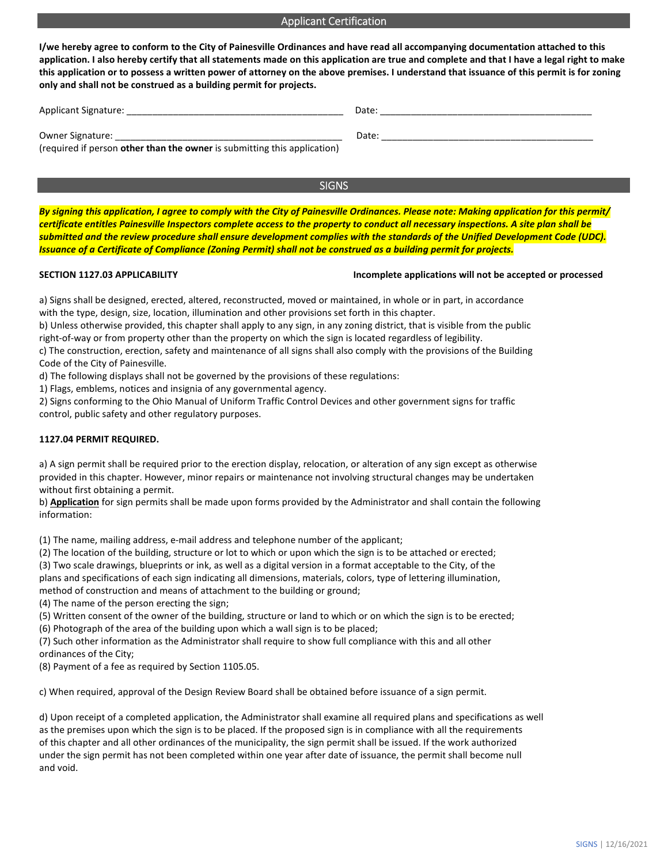## Applicant Certification

**I/we hereby agree to conform to the City of Painesville Ordinances and have read all accompanying documentation attached to this application. I also hereby certify that all statements made on this application are true and complete and that I have a legal right to make this application or to possess a written power of attorney on the above premises. I understand that issuance of this permit is for zoning only and shall not be construed as a building permit for projects.** 

SIGNS

| Applicant Signature:                                                     | Date: |
|--------------------------------------------------------------------------|-------|
| <b>Owner Signature:</b>                                                  | Date: |
| (required if person other than the owner is submitting this application) |       |

*By signing this application, I agree to comply with the City of Painesville Ordinances. Please note: Making application for this permit/ certificate entitles Painesville Inspectors complete access to the property to conduct all necessary inspections. A site plan shall be submitted and the review procedure shall ensure development complies with the standards of the Unified Development Code (UDC). Issuance of a Certificate of Compliance (Zoning Permit) shall not be construed as a building permit for projects.* 

## **SECTION 1127.03 APPLICABILITY Incomplete applications will not be accepted or processed**

a) Signs shall be designed, erected, altered, reconstructed, moved or maintained, in whole or in part, in accordance with the type, design, size, location, illumination and other provisions set forth in this chapter.

b) Unless otherwise provided, this chapter shall apply to any sign, in any zoning district, that is visible from the public right-of-way or from property other than the property on which the sign is located regardless of legibility. c) The construction, erection, safety and maintenance of all signs shall also comply with the provisions of the Building

Code of the City of Painesville.

d) The following displays shall not be governed by the provisions of these regulations:

1) Flags, emblems, notices and insignia of any governmental agency.

2) Signs conforming to the Ohio Manual of Uniform Traffic Control Devices and other government signs for traffic control, public safety and other regulatory purposes.

### **1127.04 PERMIT REQUIRED.**

a) A sign permit shall be required prior to the erection display, relocation, or alteration of any sign except as otherwise provided in this chapter. However, minor repairs or maintenance not involving structural changes may be undertaken without first obtaining a permit.

b) **Application** for sign permits shall be made upon forms provided by the Administrator and shall contain the following information:

(1) The name, mailing address, e-mail address and telephone number of the applicant;

(2) The location of the building, structure or lot to which or upon which the sign is to be attached or erected;

(3) Two scale drawings, blueprints or ink, as well as a digital version in a format acceptable to the City, of the plans and specifications of each sign indicating all dimensions, materials, colors, type of lettering illumination,

method of construction and means of attachment to the building or ground;

(4) The name of the person erecting the sign;

(5) Written consent of the owner of the building, structure or land to which or on which the sign is to be erected;

(6) Photograph of the area of the building upon which a wall sign is to be placed;

(7) Such other information as the Administrator shall require to show full compliance with this and all other ordinances of the City;

(8) Payment of a fee as required by Section 1105.05.

c) When required, approval of the Design Review Board shall be obtained before issuance of a sign permit.

d) Upon receipt of a completed application, the Administrator shall examine all required plans and specifications as well as the premises upon which the sign is to be placed. If the proposed sign is in compliance with all the requirements of this chapter and all other ordinances of the municipality, the sign permit shall be issued. If the work authorized under the sign permit has not been completed within one year after date of issuance, the permit shall become null and void.